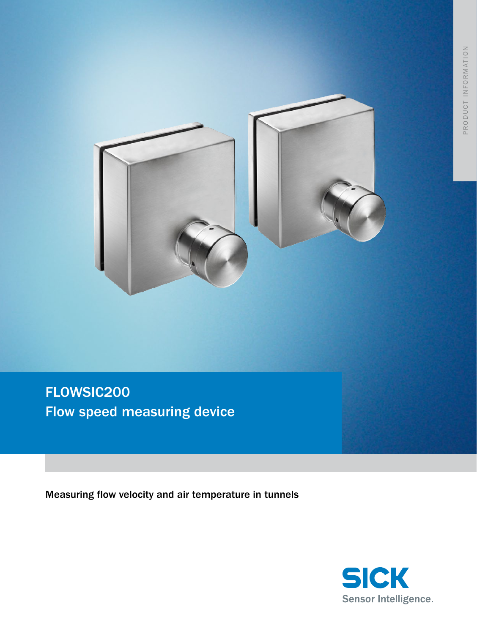

FLOWSIC200 Flow speed measuring device

Measuring flow velocity and air temperature in tunnels

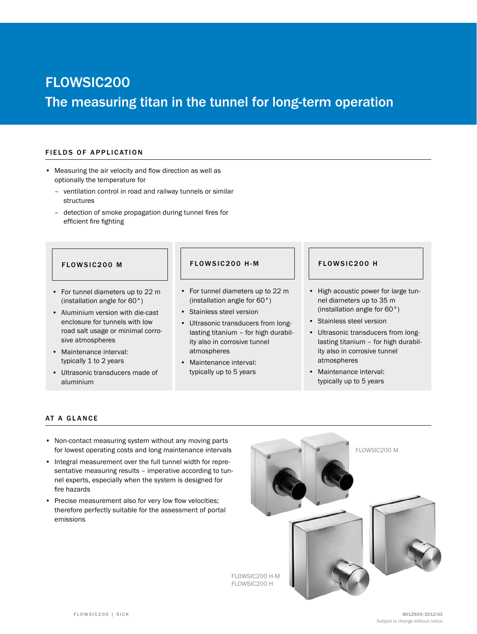# FLOWSIC200 The measuring titan in the tunnel for long-term operation

### FIELDS OF APPLICATION

- • Measuring the air velocity and flow direction as well as optionally the temperature for
	- ventilation control in road and railway tunnels or similar structures
	- detection of smoke propagation during tunnel fires for efficient fire fighting

- • For tunnel diameters up to 22 m (installation angle for 60°)
- • Aluminium version with die-cast enclosure for tunnels with low road salt usage or minimal corrosive atmospheres
- Maintenance interval: typically 1 to 2 years
- • Ultrasonic transducers made of aluminium

# FLOWSIC200 M | FLOWSIC200 H-M | FLOWSIC200 H

- • For tunnel diameters up to 22 m (installation angle for 60°)
- • Stainless steel version
- • Ultrasonic transducers from longlasting titanium – for high durability also in corrosive tunnel atmospheres
- Maintenance interval: typically up to 5 years

- • High acoustic power for large tunnel diameters up to 35 m (installation angle for 60°)
- • Stainless steel version
- • Ultrasonic transducers from longlasting titanium – for high durability also in corrosive tunnel atmospheres
- Maintenance interval: typically up to 5 years

# AT A GLANCE

- Non-contact measuring system without any moving parts for lowest operating costs and long maintenance intervals
- Integral measurement over the full tunnel width for representative measuring results – imperative according to tunnel experts, especially when the system is designed for fire hazards
- Precise measurement also for very low flow velocities; therefore perfectly suitable for the assessment of portal emissions

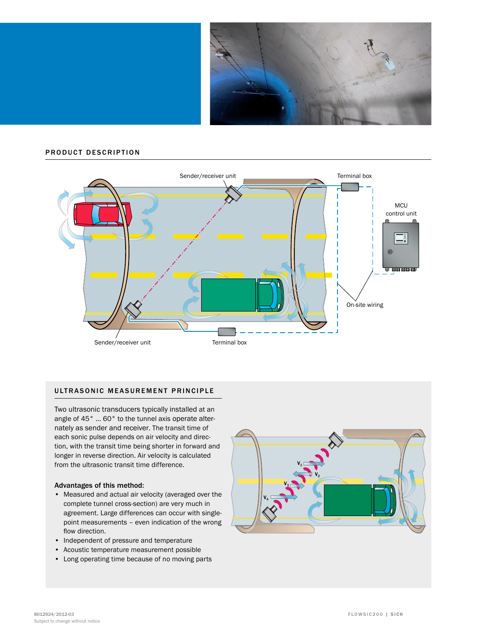

### PRODUCT DESCRIPTION



# ULTRASONIC MEASUREMENT PRINCIPLE

Two ultrasonic transducers typically installed at an angle of 45° ... 60° to the tunnel axis operate alternately as sender and receiver. The transit time of each sonic pulse depends on air velocity and direction, with the transit time being shorter in forward and longer in reverse direction. Air velocity is calculated from the ultrasonic transit time difference.

### Advantages of this method:

- Measured and actual air velocity (averaged over the complete tunnel cross-section) are very much in agreement. Large differences can occur with singlepoint measurements – even indication of the wrong flow direction.
- • Independent of pressure and temperature
- • Acoustic temperature measurement possible
- • Long operating time because of no moving parts